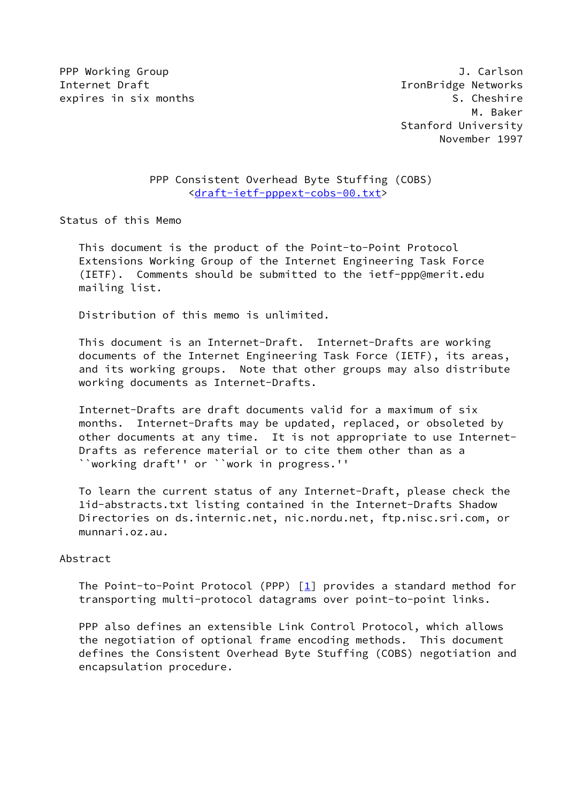PPP Working Group and the settlement of the settlement of the settlement of the settlement of the settlement of the settlement of the settlement of the settlement of the settlement of the settlement of the settlement of th Internet Draft **Internet Communist Communist Communist** IronBridge Networks expires in six months  $\sim$  S. Cheshire

# PPP Consistent Overhead Byte Stuffing (COBS) [<draft-ietf-pppext-cobs-00.txt>](https://datatracker.ietf.org/doc/pdf/draft-ietf-pppext-cobs-00.txt)

Status of this Memo

 This document is the product of the Point-to-Point Protocol Extensions Working Group of the Internet Engineering Task Force (IETF). Comments should be submitted to the ietf-ppp@merit.edu mailing list.

Distribution of this memo is unlimited.

 This document is an Internet-Draft. Internet-Drafts are working documents of the Internet Engineering Task Force (IETF), its areas, and its working groups. Note that other groups may also distribute working documents as Internet-Drafts.

 Internet-Drafts are draft documents valid for a maximum of six months. Internet-Drafts may be updated, replaced, or obsoleted by other documents at any time. It is not appropriate to use Internet- Drafts as reference material or to cite them other than as a ``working draft'' or ``work in progress.''

 To learn the current status of any Internet-Draft, please check the 1id-abstracts.txt listing contained in the Internet-Drafts Shadow Directories on ds.internic.net, nic.nordu.net, ftp.nisc.sri.com, or munnari.oz.au.

### Abstract

The Point-to-Point Protocol (PPP)  $[1]$  $[1]$  provides a standard method for transporting multi-protocol datagrams over point-to-point links.

 PPP also defines an extensible Link Control Protocol, which allows the negotiation of optional frame encoding methods. This document defines the Consistent Overhead Byte Stuffing (COBS) negotiation and encapsulation procedure.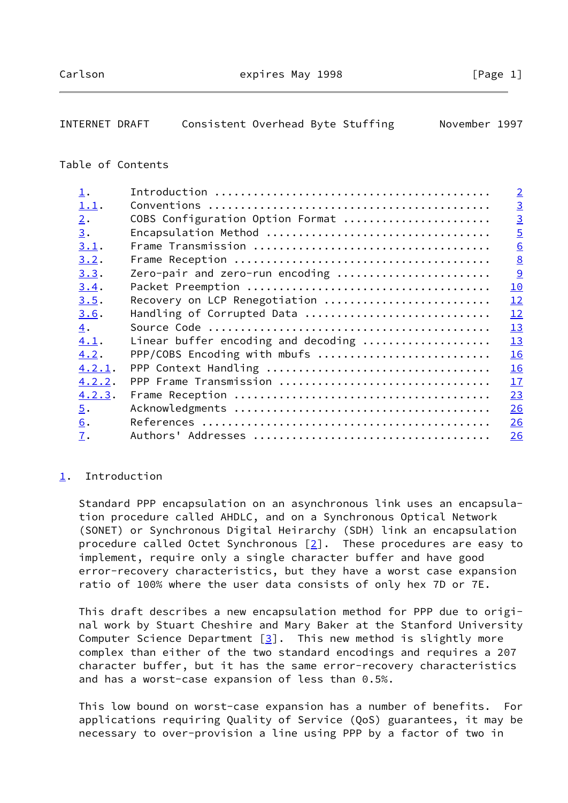<span id="page-1-1"></span>

| INTERNET DRAFT | Consistent Overhead Byte Stuffing |  |  |  | November 1997 |  |
|----------------|-----------------------------------|--|--|--|---------------|--|
|----------------|-----------------------------------|--|--|--|---------------|--|

# Table of Contents

| $\mathbf{\underline{1}}$ . |                                     | $\overline{2}$ |
|----------------------------|-------------------------------------|----------------|
| 1.1.                       |                                     | $\overline{3}$ |
| 2.                         | COBS Configuration Option Format    | $\overline{3}$ |
| 3.                         |                                     | $\overline{5}$ |
| 3.1.                       |                                     | 6              |
| 3.2.                       |                                     | 8              |
| 3.3.                       | Zero-pair and zero-run encoding     | $\overline{9}$ |
| 3.4.                       |                                     | 10             |
| 3.5.                       | Recovery on LCP Renegotiation       | 12             |
| 3.6.                       | Handling of Corrupted Data          | 12             |
| 4.                         |                                     | 13             |
| 4.1.                       | Linear buffer encoding and decoding | 13             |
| 4.2.                       | PPP/COBS Encoding with mbufs        | 16             |
| 4.2.1.                     |                                     | 16             |
| 4.2.2.                     | PPP Frame Transmission              | 17             |
| 4.2.3.                     |                                     | 23             |
| $\overline{5}$ .           |                                     | 26             |
| 6.                         |                                     | 26             |
| 7.                         |                                     | 26             |
|                            |                                     |                |

### <span id="page-1-0"></span>[1](#page-1-0). Introduction

 Standard PPP encapsulation on an asynchronous link uses an encapsula tion procedure called AHDLC, and on a Synchronous Optical Network (SONET) or Synchronous Digital Heirarchy (SDH) link an encapsulation procedure called Octet Synchronous  $[2]$  $[2]$ . These procedures are easy to implement, require only a single character buffer and have good error-recovery characteristics, but they have a worst case expansion ratio of 100% where the user data consists of only hex 7D or 7E.

 This draft describes a new encapsulation method for PPP due to origi nal work by Stuart Cheshire and Mary Baker at the Stanford University Computer Science Department  $[3]$  $[3]$ . This new method is slightly more complex than either of the two standard encodings and requires a 207 character buffer, but it has the same error-recovery characteristics and has a worst-case expansion of less than 0.5%.

 This low bound on worst-case expansion has a number of benefits. For applications requiring Quality of Service (QoS) guarantees, it may be necessary to over-provision a line using PPP by a factor of two in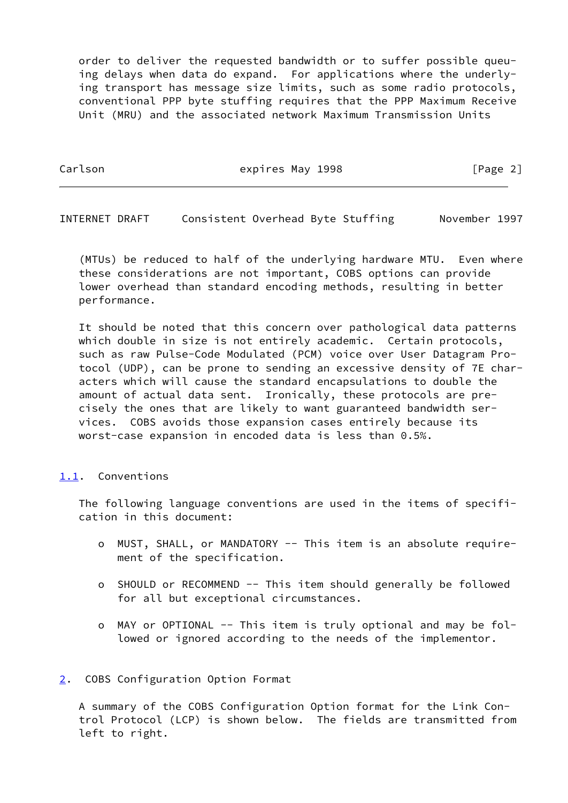order to deliver the requested bandwidth or to suffer possible queu ing delays when data do expand. For applications where the underly ing transport has message size limits, such as some radio protocols, conventional PPP byte stuffing requires that the PPP Maximum Receive Unit (MRU) and the associated network Maximum Transmission Units

Carlson **Expires May 1998** [Page 2]

<span id="page-2-1"></span>INTERNET DRAFT Consistent Overhead Byte Stuffing November 1997

 (MTUs) be reduced to half of the underlying hardware MTU. Even where these considerations are not important, COBS options can provide lower overhead than standard encoding methods, resulting in better performance.

 It should be noted that this concern over pathological data patterns which double in size is not entirely academic. Certain protocols, such as raw Pulse-Code Modulated (PCM) voice over User Datagram Pro tocol (UDP), can be prone to sending an excessive density of 7E char acters which will cause the standard encapsulations to double the amount of actual data sent. Ironically, these protocols are pre cisely the ones that are likely to want guaranteed bandwidth ser vices. COBS avoids those expansion cases entirely because its worst-case expansion in encoded data is less than 0.5%.

### <span id="page-2-0"></span>[1.1](#page-2-0). Conventions

 The following language conventions are used in the items of specifi cation in this document:

- o MUST, SHALL, or MANDATORY -- This item is an absolute require ment of the specification.
- o SHOULD or RECOMMEND -- This item should generally be followed for all but exceptional circumstances.
- o MAY or OPTIONAL -- This item is truly optional and may be fol lowed or ignored according to the needs of the implementor.

### <span id="page-2-2"></span>[2](#page-2-2). COBS Configuration Option Format

 A summary of the COBS Configuration Option format for the Link Con trol Protocol (LCP) is shown below. The fields are transmitted from left to right.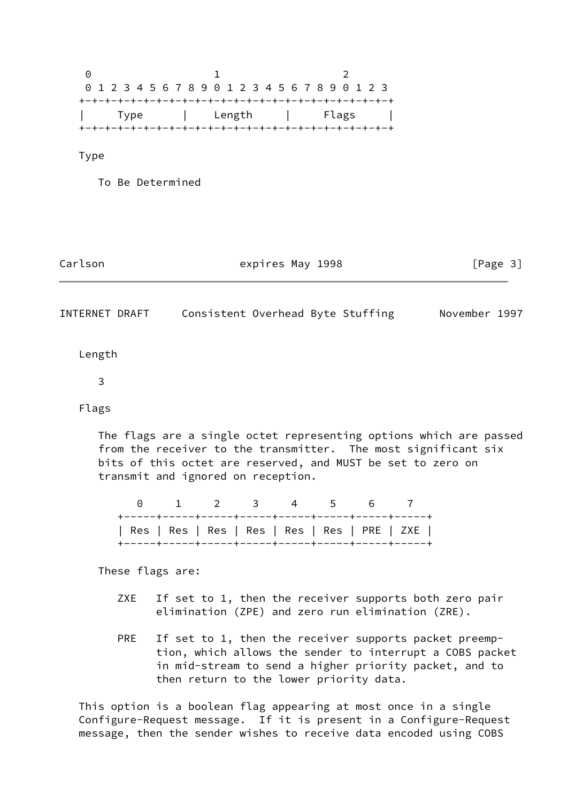0 1 2 0 1 2 3 4 5 6 7 8 9 0 1 2 3 4 5 6 7 8 9 0 1 2 3 +-+-+-+-+-+-+-+-+-+-+-+-+-+-+-+-+-+-+-+-+-+-+-+-+ | Type | Length | Flags | +-+-+-+-+-+-+-+-+-+-+-+-+-+-+-+-+-+-+-+-+-+-+-+-+

Type

To Be Determined

Carlson **Expires May 1998** [Page 3]

INTERNET DRAFT Consistent Overhead Byte Stuffing November 1997

Length

3

Flags

 The flags are a single octet representing options which are passed from the receiver to the transmitter. The most significant six bits of this octet are reserved, and MUST be set to zero on transmit and ignored on reception.

|  |  | 0 1 2 3 4 5 6 7                               |  |  |  |
|--|--|-----------------------------------------------|--|--|--|
|  |  | Res   Res   Res   Res   Res   Res   PRE   ZXE |  |  |  |

These flags are:

- ZXE If set to 1, then the receiver supports both zero pair elimination (ZPE) and zero run elimination (ZRE).
- PRE If set to 1, then the receiver supports packet preemp tion, which allows the sender to interrupt a COBS packet in mid-stream to send a higher priority packet, and to then return to the lower priority data.

 This option is a boolean flag appearing at most once in a single Configure-Request message. If it is present in a Configure-Request message, then the sender wishes to receive data encoded using COBS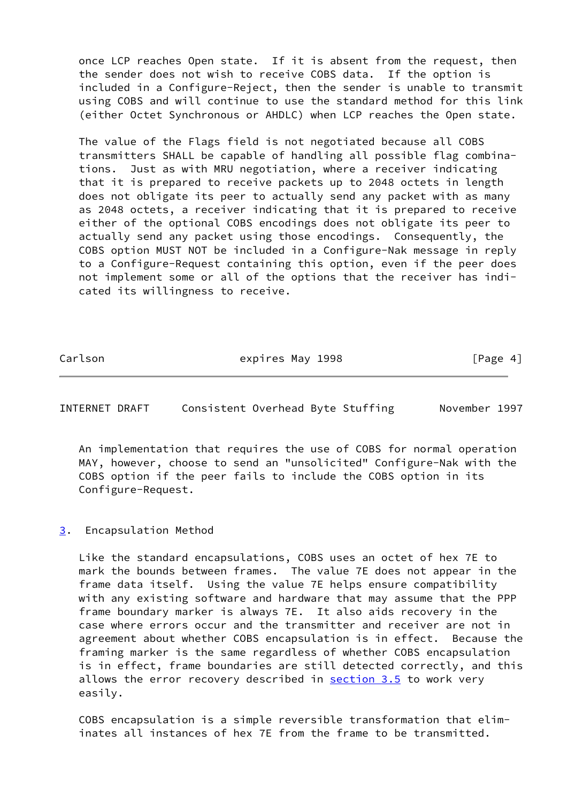once LCP reaches Open state. If it is absent from the request, then the sender does not wish to receive COBS data. If the option is included in a Configure-Reject, then the sender is unable to transmit using COBS and will continue to use the standard method for this link (either Octet Synchronous or AHDLC) when LCP reaches the Open state.

 The value of the Flags field is not negotiated because all COBS transmitters SHALL be capable of handling all possible flag combina tions. Just as with MRU negotiation, where a receiver indicating that it is prepared to receive packets up to 2048 octets in length does not obligate its peer to actually send any packet with as many as 2048 octets, a receiver indicating that it is prepared to receive either of the optional COBS encodings does not obligate its peer to actually send any packet using those encodings. Consequently, the COBS option MUST NOT be included in a Configure-Nak message in reply to a Configure-Request containing this option, even if the peer does not implement some or all of the options that the receiver has indi cated its willingness to receive.

Carlson **Expires May 1998** [Page 4]

<span id="page-4-1"></span>INTERNET DRAFT Consistent Overhead Byte Stuffing November 1997

 An implementation that requires the use of COBS for normal operation MAY, however, choose to send an "unsolicited" Configure-Nak with the COBS option if the peer fails to include the COBS option in its Configure-Request.

### <span id="page-4-0"></span>[3](#page-4-0). Encapsulation Method

 Like the standard encapsulations, COBS uses an octet of hex 7E to mark the bounds between frames. The value 7E does not appear in the frame data itself. Using the value 7E helps ensure compatibility with any existing software and hardware that may assume that the PPP frame boundary marker is always 7E. It also aids recovery in the case where errors occur and the transmitter and receiver are not in agreement about whether COBS encapsulation is in effect. Because the framing marker is the same regardless of whether COBS encapsulation is in effect, frame boundaries are still detected correctly, and this allows the error recovery described in  $section 3.5$  to work very easily.

 COBS encapsulation is a simple reversible transformation that elim inates all instances of hex 7E from the frame to be transmitted.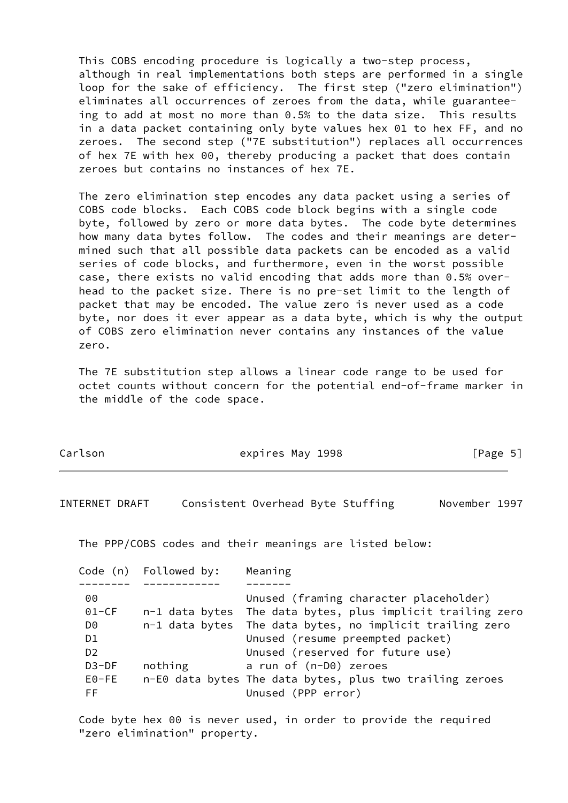This COBS encoding procedure is logically a two-step process, although in real implementations both steps are performed in a single loop for the sake of efficiency. The first step ("zero elimination") eliminates all occurrences of zeroes from the data, while guarantee ing to add at most no more than 0.5% to the data size. This results in a data packet containing only byte values hex 01 to hex FF, and no zeroes. The second step ("7E substitution") replaces all occurrences of hex 7E with hex 00, thereby producing a packet that does contain zeroes but contains no instances of hex 7E.

 The zero elimination step encodes any data packet using a series of COBS code blocks. Each COBS code block begins with a single code byte, followed by zero or more data bytes. The code byte determines how many data bytes follow. The codes and their meanings are deter mined such that all possible data packets can be encoded as a valid series of code blocks, and furthermore, even in the worst possible case, there exists no valid encoding that adds more than 0.5% over head to the packet size. There is no pre-set limit to the length of packet that may be encoded. The value zero is never used as a code byte, nor does it ever appear as a data byte, which is why the output of COBS zero elimination never contains any instances of the value zero.

 The 7E substitution step allows a linear code range to be used for octet counts without concern for the potential end-of-frame marker in the middle of the code space.

| Carlson | expires May 1998 | [Page 5] |
|---------|------------------|----------|
|---------|------------------|----------|

<span id="page-5-0"></span>INTERNET DRAFT Consistent Overhead Byte Stuffing November 1997

The PPP/COBS codes and their meanings are listed below:

|                | Code (n) Followed by: | Meaning                                                    |
|----------------|-----------------------|------------------------------------------------------------|
|                |                       |                                                            |
| 00             |                       | Unused (framing character placeholder)                     |
| $01-CF$        |                       | n-1 data bytes The data bytes, plus implicit trailing zero |
| D0             |                       | n-1 data bytes The data bytes, no implicit trailing zero   |
| D <sub>1</sub> |                       | Unused (resume preempted packet)                           |
| D <sub>2</sub> |                       | Unused (reserved for future use)                           |
| $D3-DF$        | nothing               | a run of (n-D0) zeroes                                     |
| $E0-FE$        |                       | n-E0 data bytes The data bytes, plus two trailing zeroes   |
| FF.            |                       | Unused (PPP error)                                         |

 Code byte hex 00 is never used, in order to provide the required "zero elimination" property.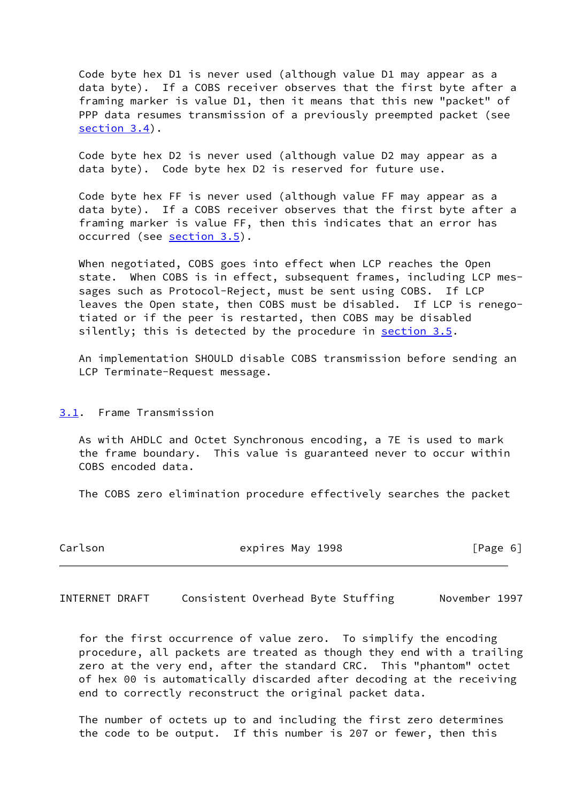Code byte hex D1 is never used (although value D1 may appear as a data byte). If a COBS receiver observes that the first byte after a framing marker is value D1, then it means that this new "packet" of PPP data resumes transmission of a previously preempted packet (see [section 3.4](#page-10-0)).

 Code byte hex D2 is never used (although value D2 may appear as a data byte). Code byte hex D2 is reserved for future use.

 Code byte hex FF is never used (although value FF may appear as a data byte). If a COBS receiver observes that the first byte after a framing marker is value FF, then this indicates that an error has occurred (see [section 3.5](#page-12-0)).

 When negotiated, COBS goes into effect when LCP reaches the Open state. When COBS is in effect, subsequent frames, including LCP mes sages such as Protocol-Reject, must be sent using COBS. If LCP leaves the Open state, then COBS must be disabled. If LCP is renego tiated or if the peer is restarted, then COBS may be disabled silently; this is detected by the procedure in [section 3.5](#page-12-0).

 An implementation SHOULD disable COBS transmission before sending an LCP Terminate-Request message.

<span id="page-6-0"></span>[3.1](#page-6-0). Frame Transmission

 As with AHDLC and Octet Synchronous encoding, a 7E is used to mark the frame boundary. This value is guaranteed never to occur within COBS encoded data.

The COBS zero elimination procedure effectively searches the packet

| Carlson | expires May 1998 | [Page 6] |
|---------|------------------|----------|
|---------|------------------|----------|

INTERNET DRAFT Consistent Overhead Byte Stuffing November 1997

 for the first occurrence of value zero. To simplify the encoding procedure, all packets are treated as though they end with a trailing zero at the very end, after the standard CRC. This "phantom" octet of hex 00 is automatically discarded after decoding at the receiving end to correctly reconstruct the original packet data.

 The number of octets up to and including the first zero determines the code to be output. If this number is 207 or fewer, then this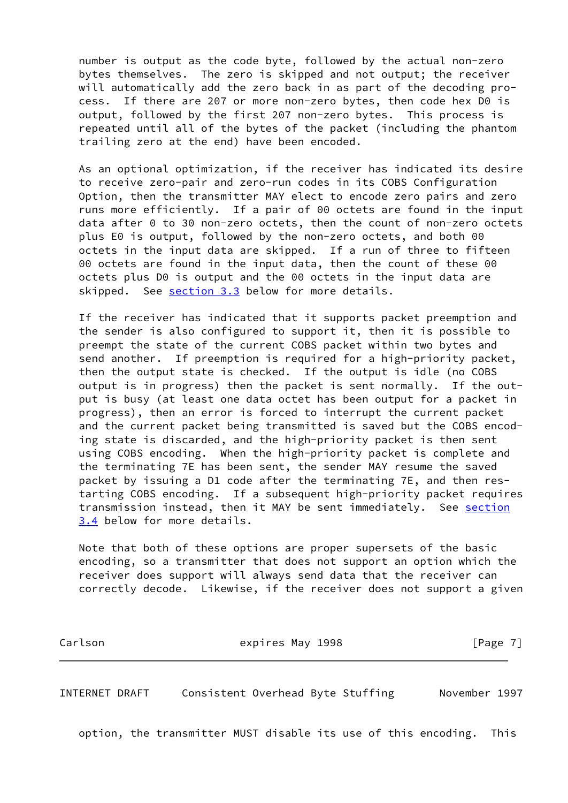number is output as the code byte, followed by the actual non-zero bytes themselves. The zero is skipped and not output; the receiver will automatically add the zero back in as part of the decoding pro cess. If there are 207 or more non-zero bytes, then code hex D0 is output, followed by the first 207 non-zero bytes. This process is repeated until all of the bytes of the packet (including the phantom trailing zero at the end) have been encoded.

 As an optional optimization, if the receiver has indicated its desire to receive zero-pair and zero-run codes in its COBS Configuration Option, then the transmitter MAY elect to encode zero pairs and zero runs more efficiently. If a pair of 00 octets are found in the input data after 0 to 30 non-zero octets, then the count of non-zero octets plus E0 is output, followed by the non-zero octets, and both 00 octets in the input data are skipped. If a run of three to fifteen 00 octets are found in the input data, then the count of these 00 octets plus D0 is output and the 00 octets in the input data are skipped. See [section 3.3](#page-9-0) below for more details.

 If the receiver has indicated that it supports packet preemption and the sender is also configured to support it, then it is possible to preempt the state of the current COBS packet within two bytes and send another. If preemption is required for a high-priority packet, then the output state is checked. If the output is idle (no COBS output is in progress) then the packet is sent normally. If the out put is busy (at least one data octet has been output for a packet in progress), then an error is forced to interrupt the current packet and the current packet being transmitted is saved but the COBS encod ing state is discarded, and the high-priority packet is then sent using COBS encoding. When the high-priority packet is complete and the terminating 7E has been sent, the sender MAY resume the saved packet by issuing a D1 code after the terminating 7E, and then res tarting COBS encoding. If a subsequent high-priority packet requires transmission instead, then it MAY be sent immediately. See [section](#page-10-0) [3.4](#page-10-0) below for more details.

 Note that both of these options are proper supersets of the basic encoding, so a transmitter that does not support an option which the receiver does support will always send data that the receiver can correctly decode. Likewise, if the receiver does not support a given

Carlson **Expires May 1998** [Page 7]

<span id="page-7-0"></span>INTERNET DRAFT Consistent Overhead Byte Stuffing November 1997

option, the transmitter MUST disable its use of this encoding. This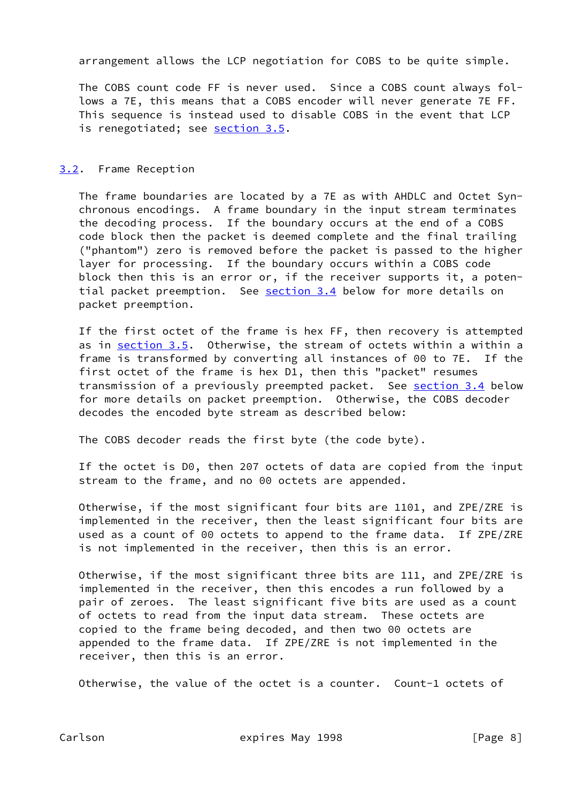arrangement allows the LCP negotiation for COBS to be quite simple.

 The COBS count code FF is never used. Since a COBS count always fol lows a 7E, this means that a COBS encoder will never generate 7E FF. This sequence is instead used to disable COBS in the event that LCP is renegotiated; see [section 3.5](#page-12-0).

# <span id="page-8-0"></span>[3.2](#page-8-0). Frame Reception

 The frame boundaries are located by a 7E as with AHDLC and Octet Syn chronous encodings. A frame boundary in the input stream terminates the decoding process. If the boundary occurs at the end of a COBS code block then the packet is deemed complete and the final trailing ("phantom") zero is removed before the packet is passed to the higher layer for processing. If the boundary occurs within a COBS code block then this is an error or, if the receiver supports it, a poten tial packet preemption. See [section 3.4](#page-10-0) below for more details on packet preemption.

 If the first octet of the frame is hex FF, then recovery is attempted as in [section 3.5](#page-12-0). Otherwise, the stream of octets within a within a frame is transformed by converting all instances of 00 to 7E. If the first octet of the frame is hex D1, then this "packet" resumes transmission of a previously preempted packet. See [section 3.4](#page-10-0) below for more details on packet preemption. Otherwise, the COBS decoder decodes the encoded byte stream as described below:

The COBS decoder reads the first byte (the code byte).

 If the octet is D0, then 207 octets of data are copied from the input stream to the frame, and no 00 octets are appended.

 Otherwise, if the most significant four bits are 1101, and ZPE/ZRE is implemented in the receiver, then the least significant four bits are used as a count of 00 octets to append to the frame data. If ZPE/ZRE is not implemented in the receiver, then this is an error.

 Otherwise, if the most significant three bits are 111, and ZPE/ZRE is implemented in the receiver, then this encodes a run followed by a pair of zeroes. The least significant five bits are used as a count of octets to read from the input data stream. These octets are copied to the frame being decoded, and then two 00 octets are appended to the frame data. If ZPE/ZRE is not implemented in the receiver, then this is an error.

Otherwise, the value of the octet is a counter. Count-1 octets of

Carlson **Expires May 1998** [Page 8]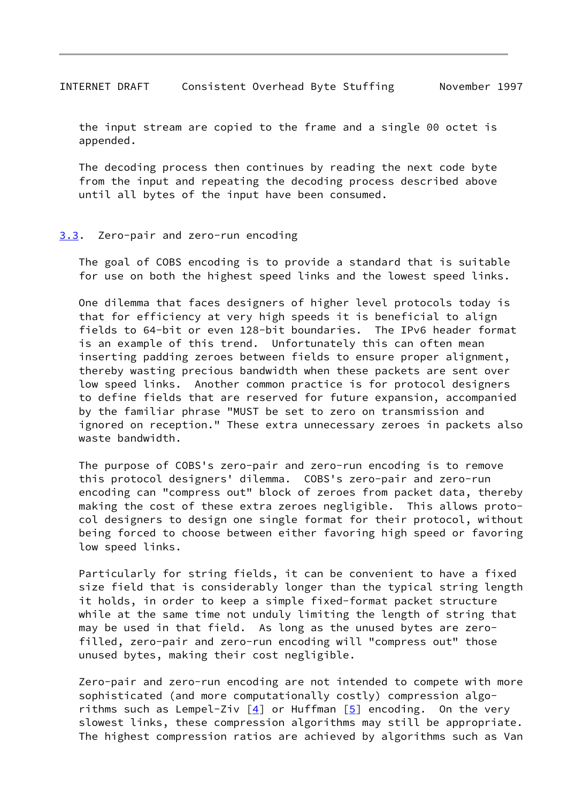<span id="page-9-1"></span> the input stream are copied to the frame and a single 00 octet is appended.

 The decoding process then continues by reading the next code byte from the input and repeating the decoding process described above until all bytes of the input have been consumed.

#### <span id="page-9-0"></span>[3.3](#page-9-0). Zero-pair and zero-run encoding

 The goal of COBS encoding is to provide a standard that is suitable for use on both the highest speed links and the lowest speed links.

 One dilemma that faces designers of higher level protocols today is that for efficiency at very high speeds it is beneficial to align fields to 64-bit or even 128-bit boundaries. The IPv6 header format is an example of this trend. Unfortunately this can often mean inserting padding zeroes between fields to ensure proper alignment, thereby wasting precious bandwidth when these packets are sent over low speed links. Another common practice is for protocol designers to define fields that are reserved for future expansion, accompanied by the familiar phrase "MUST be set to zero on transmission and ignored on reception." These extra unnecessary zeroes in packets also waste bandwidth.

 The purpose of COBS's zero-pair and zero-run encoding is to remove this protocol designers' dilemma. COBS's zero-pair and zero-run encoding can "compress out" block of zeroes from packet data, thereby making the cost of these extra zeroes negligible. This allows proto col designers to design one single format for their protocol, without being forced to choose between either favoring high speed or favoring low speed links.

 Particularly for string fields, it can be convenient to have a fixed size field that is considerably longer than the typical string length it holds, in order to keep a simple fixed-format packet structure while at the same time not unduly limiting the length of string that may be used in that field. As long as the unused bytes are zero filled, zero-pair and zero-run encoding will "compress out" those unused bytes, making their cost negligible.

 Zero-pair and zero-run encoding are not intended to compete with more sophisticated (and more computationally costly) compression algo rithms such as Lempel-Ziv  $[4]$  $[4]$  or Huffman  $[5]$  encoding. On the very slowest links, these compression algorithms may still be appropriate. The highest compression ratios are achieved by algorithms such as Van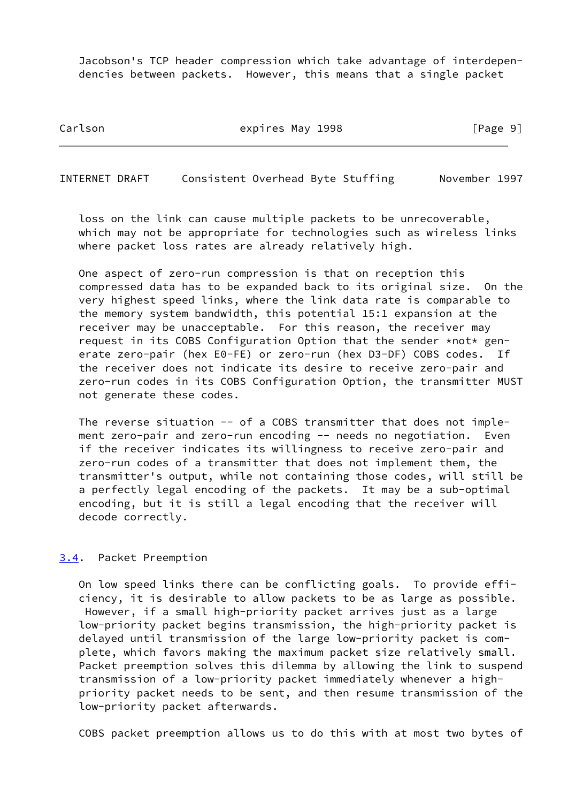Jacobson's TCP header compression which take advantage of interdepen dencies between packets. However, this means that a single packet

Carlson **Expires May 1998** [Page 9]

<span id="page-10-1"></span>INTERNET DRAFT Consistent Overhead Byte Stuffing November 1997

 loss on the link can cause multiple packets to be unrecoverable, which may not be appropriate for technologies such as wireless links where packet loss rates are already relatively high.

 One aspect of zero-run compression is that on reception this compressed data has to be expanded back to its original size. On the very highest speed links, where the link data rate is comparable to the memory system bandwidth, this potential 15:1 expansion at the receiver may be unacceptable. For this reason, the receiver may request in its COBS Configuration Option that the sender \*not\* gen erate zero-pair (hex E0-FE) or zero-run (hex D3-DF) COBS codes. If the receiver does not indicate its desire to receive zero-pair and zero-run codes in its COBS Configuration Option, the transmitter MUST not generate these codes.

 The reverse situation -- of a COBS transmitter that does not imple ment zero-pair and zero-run encoding -- needs no negotiation. Even if the receiver indicates its willingness to receive zero-pair and zero-run codes of a transmitter that does not implement them, the transmitter's output, while not containing those codes, will still be a perfectly legal encoding of the packets. It may be a sub-optimal encoding, but it is still a legal encoding that the receiver will decode correctly.

#### <span id="page-10-0"></span>[3.4](#page-10-0). Packet Preemption

 On low speed links there can be conflicting goals. To provide effi ciency, it is desirable to allow packets to be as large as possible. However, if a small high-priority packet arrives just as a large low-priority packet begins transmission, the high-priority packet is delayed until transmission of the large low-priority packet is com plete, which favors making the maximum packet size relatively small. Packet preemption solves this dilemma by allowing the link to suspend transmission of a low-priority packet immediately whenever a high priority packet needs to be sent, and then resume transmission of the low-priority packet afterwards.

COBS packet preemption allows us to do this with at most two bytes of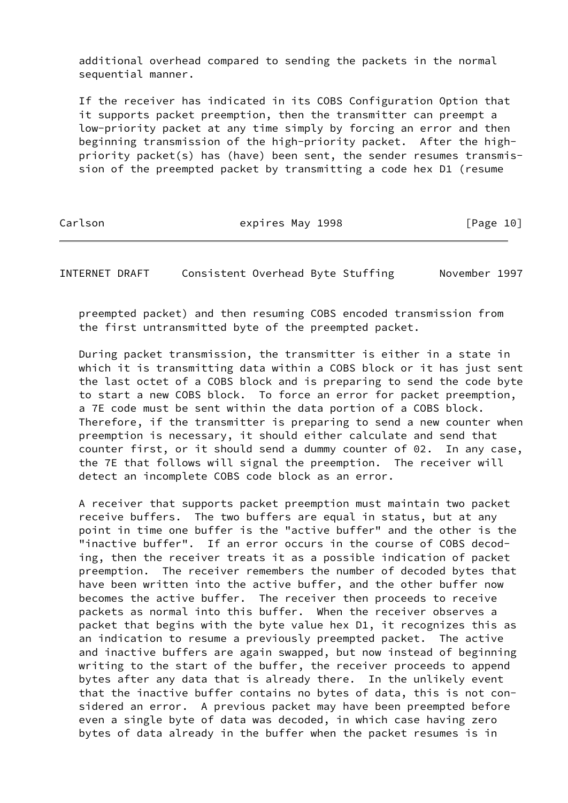additional overhead compared to sending the packets in the normal sequential manner.

 If the receiver has indicated in its COBS Configuration Option that it supports packet preemption, then the transmitter can preempt a low-priority packet at any time simply by forcing an error and then beginning transmission of the high-priority packet. After the high priority packet(s) has (have) been sent, the sender resumes transmis sion of the preempted packet by transmitting a code hex D1 (resume

Carlson **expires May 1998** [Page 10]

INTERNET DRAFT Consistent Overhead Byte Stuffing November 1997

 preempted packet) and then resuming COBS encoded transmission from the first untransmitted byte of the preempted packet.

 During packet transmission, the transmitter is either in a state in which it is transmitting data within a COBS block or it has just sent the last octet of a COBS block and is preparing to send the code byte to start a new COBS block. To force an error for packet preemption, a 7E code must be sent within the data portion of a COBS block. Therefore, if the transmitter is preparing to send a new counter when preemption is necessary, it should either calculate and send that counter first, or it should send a dummy counter of 02. In any case, the 7E that follows will signal the preemption. The receiver will detect an incomplete COBS code block as an error.

 A receiver that supports packet preemption must maintain two packet receive buffers. The two buffers are equal in status, but at any point in time one buffer is the "active buffer" and the other is the "inactive buffer". If an error occurs in the course of COBS decod ing, then the receiver treats it as a possible indication of packet preemption. The receiver remembers the number of decoded bytes that have been written into the active buffer, and the other buffer now becomes the active buffer. The receiver then proceeds to receive packets as normal into this buffer. When the receiver observes a packet that begins with the byte value hex D1, it recognizes this as an indication to resume a previously preempted packet. The active and inactive buffers are again swapped, but now instead of beginning writing to the start of the buffer, the receiver proceeds to append bytes after any data that is already there. In the unlikely event that the inactive buffer contains no bytes of data, this is not con sidered an error. A previous packet may have been preempted before even a single byte of data was decoded, in which case having zero bytes of data already in the buffer when the packet resumes is in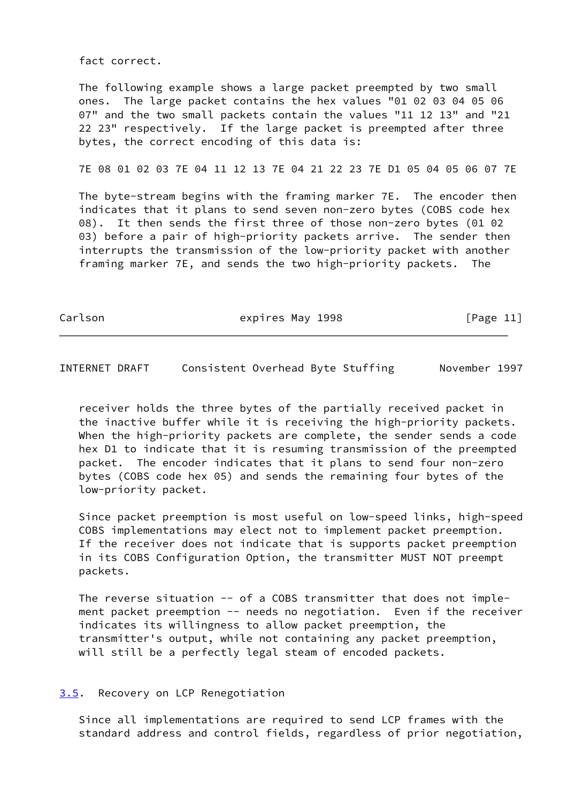fact correct.

 The following example shows a large packet preempted by two small ones. The large packet contains the hex values "01 02 03 04 05 06 07" and the two small packets contain the values "11 12 13" and "21 22 23" respectively. If the large packet is preempted after three bytes, the correct encoding of this data is:

7E 08 01 02 03 7E 04 11 12 13 7E 04 21 22 23 7E D1 05 04 05 06 07 7E

 The byte-stream begins with the framing marker 7E. The encoder then indicates that it plans to send seven non-zero bytes (COBS code hex 08). It then sends the first three of those non-zero bytes (01 02 03) before a pair of high-priority packets arrive. The sender then interrupts the transmission of the low-priority packet with another framing marker 7E, and sends the two high-priority packets. The

Carlson **Expires May 1998** [Page 11]

<span id="page-12-1"></span>INTERNET DRAFT Consistent Overhead Byte Stuffing November 1997

 receiver holds the three bytes of the partially received packet in the inactive buffer while it is receiving the high-priority packets. When the high-priority packets are complete, the sender sends a code hex D1 to indicate that it is resuming transmission of the preempted packet. The encoder indicates that it plans to send four non-zero bytes (COBS code hex 05) and sends the remaining four bytes of the low-priority packet.

 Since packet preemption is most useful on low-speed links, high-speed COBS implementations may elect not to implement packet preemption. If the receiver does not indicate that is supports packet preemption in its COBS Configuration Option, the transmitter MUST NOT preempt packets.

 The reverse situation -- of a COBS transmitter that does not imple ment packet preemption -- needs no negotiation. Even if the receiver indicates its willingness to allow packet preemption, the transmitter's output, while not containing any packet preemption, will still be a perfectly legal steam of encoded packets.

# <span id="page-12-0"></span>[3.5](#page-12-0). Recovery on LCP Renegotiation

 Since all implementations are required to send LCP frames with the standard address and control fields, regardless of prior negotiation,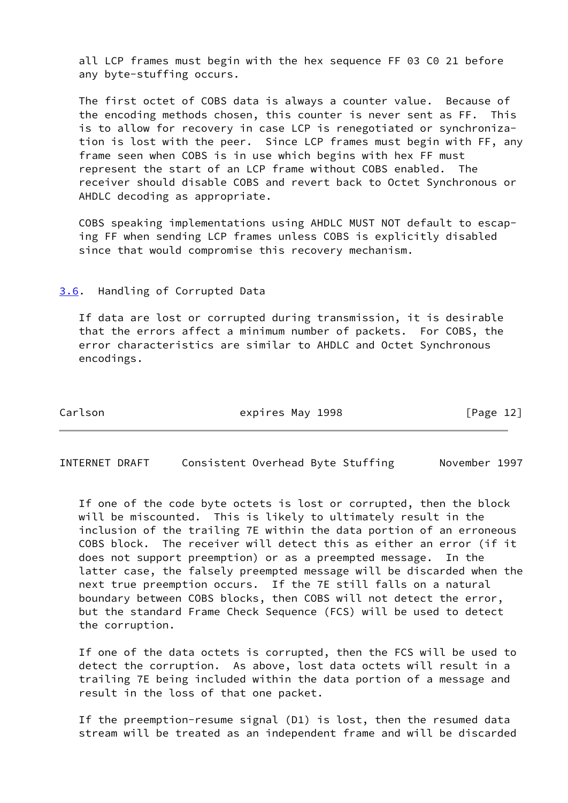all LCP frames must begin with the hex sequence FF 03 C0 21 before any byte-stuffing occurs.

 The first octet of COBS data is always a counter value. Because of the encoding methods chosen, this counter is never sent as FF. This is to allow for recovery in case LCP is renegotiated or synchroniza tion is lost with the peer. Since LCP frames must begin with FF, any frame seen when COBS is in use which begins with hex FF must represent the start of an LCP frame without COBS enabled. The receiver should disable COBS and revert back to Octet Synchronous or AHDLC decoding as appropriate.

 COBS speaking implementations using AHDLC MUST NOT default to escap ing FF when sending LCP frames unless COBS is explicitly disabled since that would compromise this recovery mechanism.

#### <span id="page-13-0"></span>[3.6](#page-13-0). Handling of Corrupted Data

 If data are lost or corrupted during transmission, it is desirable that the errors affect a minimum number of packets. For COBS, the error characteristics are similar to AHDLC and Octet Synchronous encodings.

Carlson **Expires May 1998** [Page 12]

<span id="page-13-1"></span>INTERNET DRAFT Consistent Overhead Byte Stuffing November 1997

 If one of the code byte octets is lost or corrupted, then the block will be miscounted. This is likely to ultimately result in the inclusion of the trailing 7E within the data portion of an erroneous COBS block. The receiver will detect this as either an error (if it does not support preemption) or as a preempted message. In the latter case, the falsely preempted message will be discarded when the next true preemption occurs. If the 7E still falls on a natural boundary between COBS blocks, then COBS will not detect the error, but the standard Frame Check Sequence (FCS) will be used to detect the corruption.

 If one of the data octets is corrupted, then the FCS will be used to detect the corruption. As above, lost data octets will result in a trailing 7E being included within the data portion of a message and result in the loss of that one packet.

 If the preemption-resume signal (D1) is lost, then the resumed data stream will be treated as an independent frame and will be discarded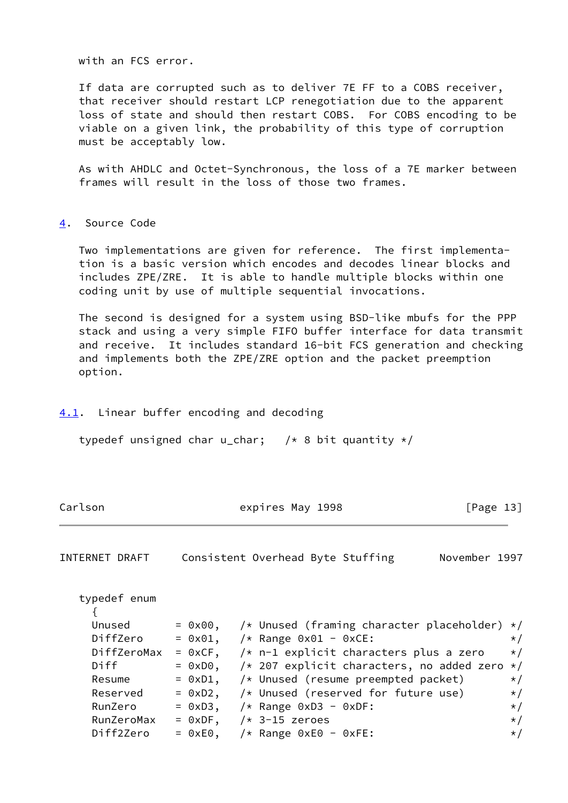with an FCS error.

 If data are corrupted such as to deliver 7E FF to a COBS receiver, that receiver should restart LCP renegotiation due to the apparent loss of state and should then restart COBS. For COBS encoding to be viable on a given link, the probability of this type of corruption must be acceptably low.

 As with AHDLC and Octet-Synchronous, the loss of a 7E marker between frames will result in the loss of those two frames.

#### <span id="page-14-0"></span>[4](#page-14-0). Source Code

 Two implementations are given for reference. The first implementa tion is a basic version which encodes and decodes linear blocks and includes ZPE/ZRE. It is able to handle multiple blocks within one coding unit by use of multiple sequential invocations.

 The second is designed for a system using BSD-like mbufs for the PPP stack and using a very simple FIFO buffer interface for data transmit and receive. It includes standard 16-bit FCS generation and checking and implements both the ZPE/ZRE option and the packet preemption option.

#### <span id="page-14-1"></span>[4.1](#page-14-1). Linear buffer encoding and decoding

typedef unsigned char u\_char;  $/* 8 bit quantity */$ 

|  | Carlson | expires May 1998 | [Page 13] |
|--|---------|------------------|-----------|
|--|---------|------------------|-----------|

| INTERNET DRAFT | Consistent Overhead Byte Stuffing |  | November 1997 |  |
|----------------|-----------------------------------|--|---------------|--|
|                |                                   |  |               |  |

| typedef enum |                   |                                                         |          |
|--------------|-------------------|---------------------------------------------------------|----------|
|              |                   |                                                         |          |
| Unused       |                   | = $0x00$ , /* Unused (framing character placeholder) */ |          |
| DiffZero     |                   | = $0x01$ , $/*$ Range $0x01 - 0xCE$ :                   | $\star/$ |
| DiffZeroMax  |                   | = $0xCF$ , $\neq$ n-1 explicit characters plus a zero   | $\star/$ |
| Diff         |                   | = $0xD0$ , /* 207 explicit characters, no added zero */ |          |
| Resume       |                   | $= 0xD1$ , $/*$ Unused (resume preempted packet)        | $\star/$ |
| Reserved     |                   | $= 0xD2$ , $/*$ Unused (reserved for future use)        | $\star/$ |
| RunZero      | $= 0xD3$ ,        | $/*$ Range 0xD3 - 0xDF:                                 | $\star/$ |
| RunZeroMax   | $= 0xDF$ ,        | $/* 3-15$ zeroes                                        | $\star/$ |
| Diff2Zero    | $= 0 \times E0$ , | $/*$ Range 0xE0 - 0xFE:                                 | $\star/$ |
|              |                   |                                                         |          |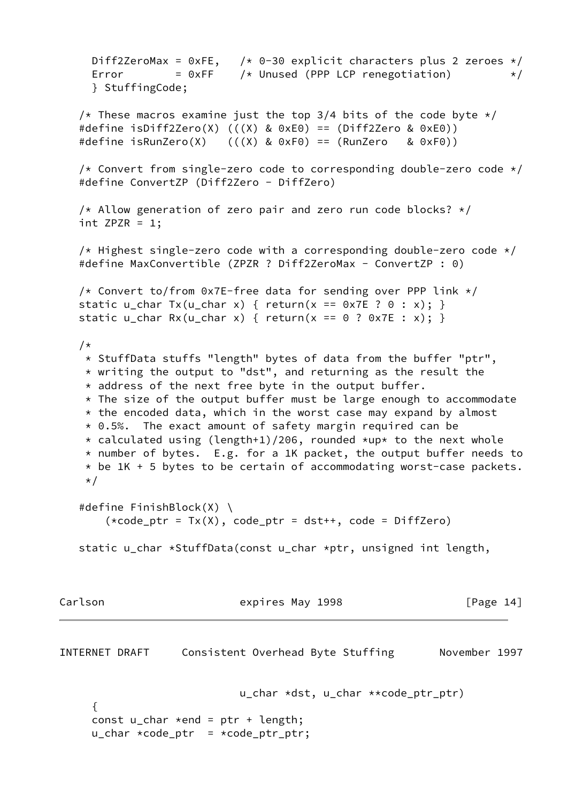Diff2ZeroMax =  $0xFE$ , /\* 0-30 explicit characters plus 2 zeroes \*/ Error  $= 0xFF$  /\* Unused (PPP LCP renegotiation)  $*$ / } StuffingCode; /\* These macros examine just the top 3/4 bits of the code byte  $*/$  #define isDiff2Zero(X) (((X) & 0xE0) == (Diff2Zero & 0xE0)) #define isRunZero(X)  $((X)$  & 0xF0) == (RunZero & 0xF0)) /\* Convert from single-zero code to corresponding double-zero code  $*/$  #define ConvertZP (Diff2Zero - DiffZero) /\* Allow generation of zero pair and zero run code blocks?  $*/$ int  $ZPZR = 1$ ; /\* Highest single-zero code with a corresponding double-zero code  $*/$ #define MaxConvertible (ZPZR ? Diff2ZeroMax - ConvertZP : 0) /\* Convert to/from 0x7E-free data for sending over PPP link  $*/$ static u\_char Tx(u\_char x) { return(x ==  $0x7E$  ? 0 : x); } static u\_char Rx(u\_char x) { return(x == 0 ? 0x7E : x); } /\* \* StuffData stuffs "length" bytes of data from the buffer "ptr", \* writing the output to "dst", and returning as the result the \* address of the next free byte in the output buffer.  $*$  The size of the output buffer must be large enough to accommodate  $*$  the encoded data, which in the worst case may expand by almost \* 0.5%. The exact amount of safety margin required can be \* calculated using (length+1)/206, rounded \*up\* to the next whole \* number of bytes. E.g. for a 1K packet, the output buffer needs to  $*$  be 1K + 5 bytes to be certain of accommodating worst-case packets. \*/ #define FinishBlock(X) \  $(*code_ptr = Tx(X), code_ptr = dist++, code = DiffZero)$  static u\_char \*StuffData(const u\_char \*ptr, unsigned int length, Carlson **Expires May 1998** [Page 14] INTERNET DRAFT Consistent Overhead Byte Stuffing Movember 1997 u\_char \*dst, u\_char \*\*code\_ptr\_ptr) { const  $u_{\text{c}}$ char \*end = ptr + length;  $u_{\text{c}}$ char \*code\_ptr = \*code\_ptr\_ptr;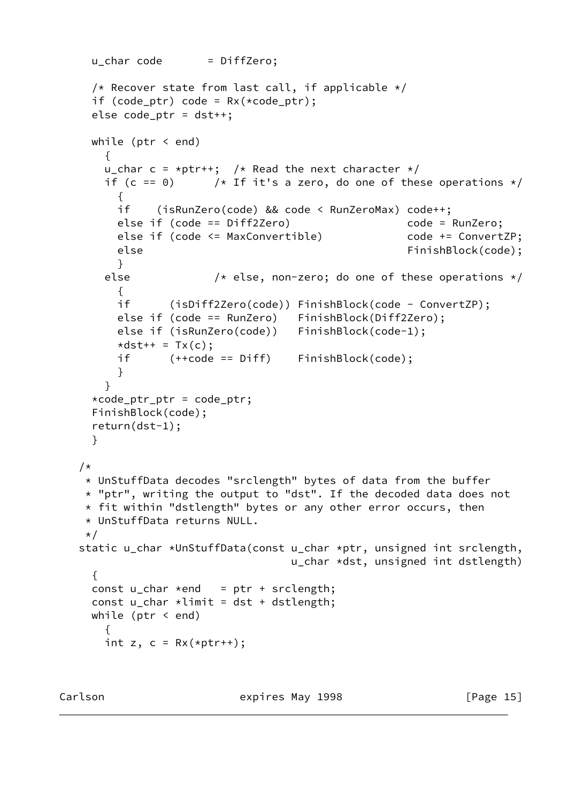```
u char code = DiffZero;
    /* Recover state from last call, if applicable */if (code_ptr) code = Rx(*code\_ptr); else code_ptr = dst++;
     while (ptr < end)
       {
      u_char c = *ptr++; /* Read the next character */
      if (c == 0) /* If it's a zero, do one of these operations */
         {
         if (isRunZero(code) && code < RunZeroMax) code++;
         else if (code == Diff2Zero) code = RunZero;
        else if (code <= MaxConvertible)    code += ConvertZP;
         else FinishBlock(code);
         }
       else /* else, non-zero; do one of these operations */
\overline{\mathcal{L}} if (isDiff2Zero(code)) FinishBlock(code - ConvertZP);
         else if (code == RunZero) FinishBlock(Diff2Zero);
         else if (isRunZero(code)) FinishBlock(code-1);
        \stardst++ = Tx(c);
         if (++code == Diff) FinishBlock(code);
 }
       }
     *code_ptr_ptr = code_ptr;
     FinishBlock(code);
     return(dst-1);
     }
  /*
    * UnStuffData decodes "srclength" bytes of data from the buffer
    * "ptr", writing the output to "dst". If the decoded data does not
    * fit within "dstlength" bytes or any other error occurs, then
    * UnStuffData returns NULL.
    */
   static u_char *UnStuffData(const u_char *ptr, unsigned int srclength,
                                   u_char *dst, unsigned int dstlength)
     {
    const u_{\text{c}}char *end = ptr + srclength;
    const u_char *limit = dist + distlength; while (ptr < end)
       {
      int z, c = Rx(*ptr++);
```
Carlson **Expires May 1998** [Page 15]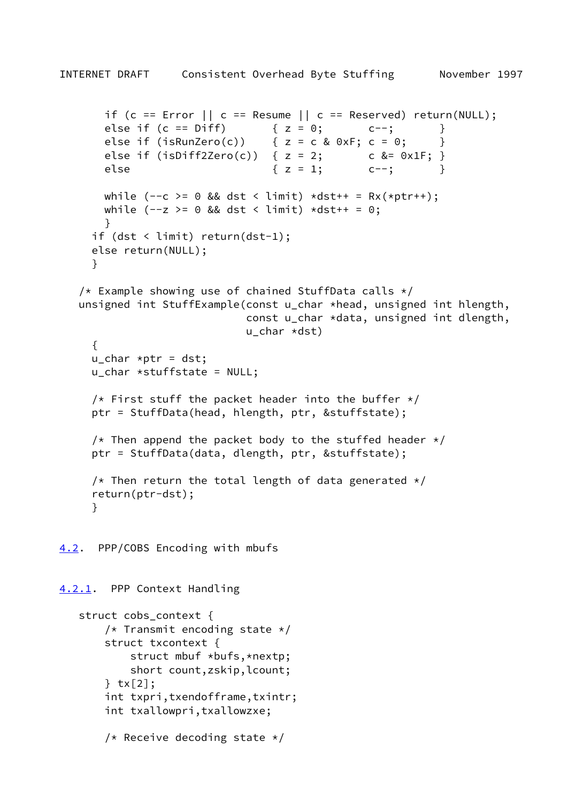```
if (c == Error ||c| = Resume ||c| = Reserved) return(NULL);
       else if (c == Diff) { z = 0; c--; }
       else if (isRunZero(c)) \{z = c \& 0 \times F : c = 0; \}else if (isDiff2Zero(c)) { z = 2;  c & = 0x1F; }else { z = 1; c--; }
      while (- -c) = 0 && dst < limit) *dst++ = Rx(*ptr++);
      while (-z \ge 0 \& 0 \& 1 \text{ s.t.} \& 0 \text{ s.t.} \& 0; }
      if (dst < limit) return(dst-1);
      else return(NULL);
      }
   /* Example showing use of chained StuffData calls */ unsigned int StuffExample(const u_char *head, unsigned int hlength,
                              const u_char *data, unsigned int dlength,
                              u_char *dst)
      {
     u_{\text{c}}char *ptr = dst;
      u_char *stuffstate = NULL;
     /* First stuff the packet header into the buffer */ ptr = StuffData(head, hlength, ptr, &stuffstate);
     /* Then append the packet body to the stuffed header */ ptr = StuffData(data, dlength, ptr, &stuffstate);
     /* Then return the total length of data generated */ return(ptr-dst);
      }
4.2. PPP/COBS Encoding with mbufs
4.2.1. PPP Context Handling
   struct cobs context {
       /* Transmit encoding state */ struct txcontext {
            struct mbuf *bufs,*nextp;
            short count,zskip,lcount;
        } tx[2];
        int txpri,txendofframe,txintr;
        int txallowpri,txallowzxe;
        /* Receive decoding state */
```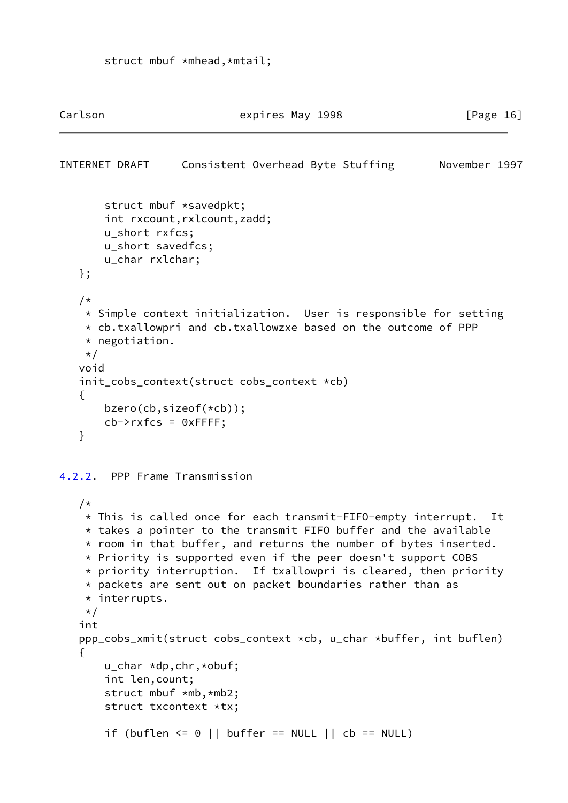```
Carlson Expires May 1998 [Page 16]
INTERNET DRAFT Consistent Overhead Byte Stuffing November 1997
        struct mbuf *savedpkt;
        int rxcount,rxlcount,zadd;
        u_short rxfcs;
        u_short savedfcs;
        u_char rxlchar;
    };
    /*
     * Simple context initialization. User is responsible for setting
    * cb.txallowpri and cb.txallowzxe based on the outcome of PPP
    * negotiation.
    */
    void
    init_cobs_context(struct cobs_context *cb)
    {
        bzero(cb,sizeof(*cb));
       cb->rxfcs = 0xFFFF;
    }
4.2.2. PPP Frame Transmission
   /*
     * This is called once for each transmit-FIFO-empty interrupt. It
     * takes a pointer to the transmit FIFO buffer and the available
     * room in that buffer, and returns the number of bytes inserted.
     * Priority is supported even if the peer doesn't support COBS
     * priority interruption. If txallowpri is cleared, then priority
     * packets are sent out on packet boundaries rather than as
     * interrupts.
     */
    int
    ppp_cobs_xmit(struct cobs_context *cb, u_char *buffer, int buflen)
    {
        u_char *dp,chr,*obuf;
        int len,count;
        struct mbuf *mb,*mb2;
        struct txcontext *tx;
       if (buflen \leq 0 || buffer == NULL || cb == NULL)
```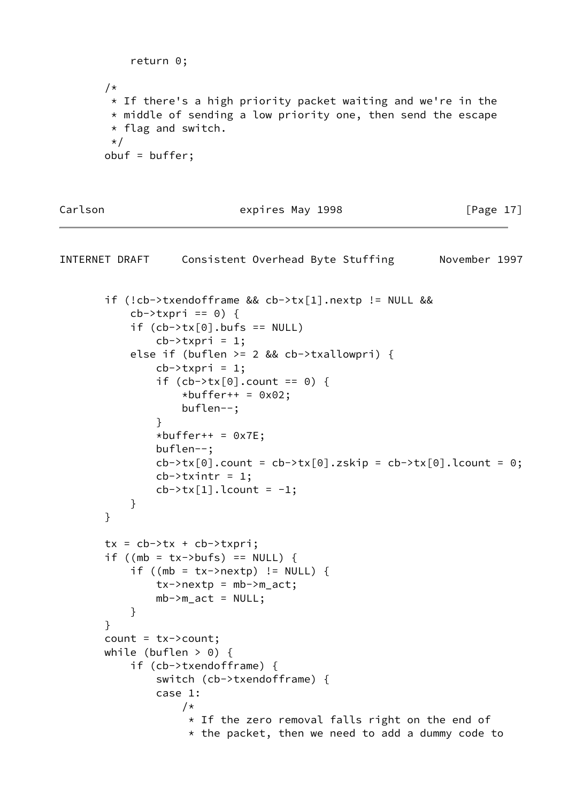```
 return 0;
 /*
  * If there's a high priority packet waiting and we're in the
 * middle of sending a low priority one, then send the escape
  * flag and switch.
 \star/ obuf = buffer;
```
Carlson **Expires May 1998** [Page 17]

```
INTERNET DRAFT Consistent Overhead Byte Stuffing November 1997
        if (!cb->txendofframe && cb->tx[1].nextp != NULL &&
           cb->txpri == 0) {
           if (cb->tx[0].buts == NULL)cb->txpri = 1;
            else if (buflen >= 2 && cb->txallowpri) {
               cb->txpri = 1;
               if (cb->tx[0] . count == 0) {
                   *buffer++ = 0x02;
                    buflen--;
 }
               *buffer++ = 0x7E;
                buflen--;
               cb->tx[0].count = cb->tx[0].zskip = cb->tx[0].lcount = 0;
               cb->txintr = 1;
               cb->tx[1].lcount = -1;
 }
        }
       tx = cb \rightarrow tx + cb \rightarrow txpri;if ((mb = tx->bufs) == NULL) {
           if ((mb = tx->nextp) != NULL) {
               tx \rightarrow new \pm p = mb \rightarrow m \pm ac \pm;
               mb->m_act = NULL; }
        }
       count = tx->count;while (buflen > 0) {
            if (cb->txendofframe) {
                switch (cb->txendofframe) {
                case 1:
 /*
                     * If the zero removal falls right on the end of
                     * the packet, then we need to add a dummy code to
```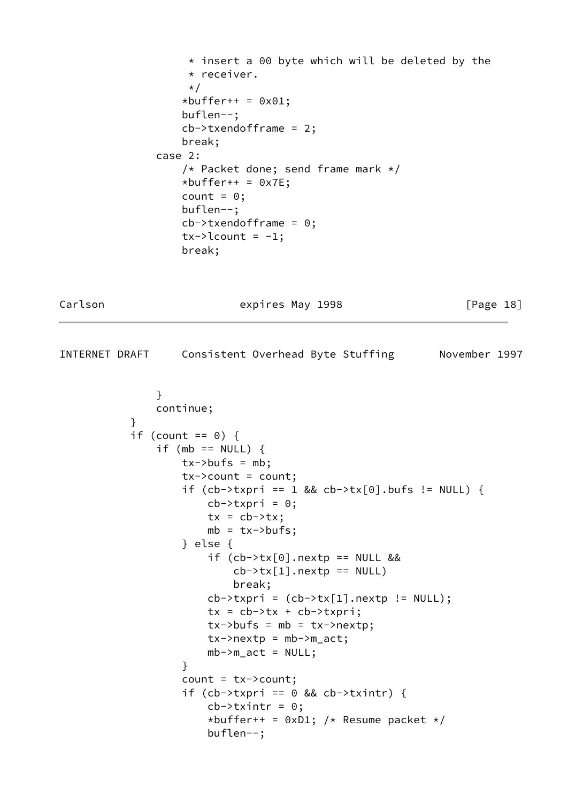```
* insert a 00 byte which will be deleted by the
                    * receiver.
\star/*buffer++ = 0x01;
                   buflen--;
                   cb->txendofframe = 2;
                   break;
               case 2:
                   /* Packet done; send frame mark */
                  *buffer++ = 0x7E;count = 0;
                   buflen--;
                   cb->txendofframe = 0;
                  tx->lcount = -1; break;
```
Carlson **expires May 1998** [Page 18]

```
INTERNET DRAFT Consistent Overhead Byte Stuffing November 1997
 }
                 continue;
 }
            if (count == 0) {
                if (mb == NULL) {
                     tx->bufs = mb;tx->count = count;
                     if (cb->txpri == 1 && cb->tx[0].bufs != NULL) {
                         cb->txpri = 0;
                         tx = cb \rightarrow tx;mb = tx \rightarrow but fs; } else {
                          if (cb->tx[0].nextp == NULL &&
                              cb->tx[1].nextp == NULL)
                               break;
                         cb->txpri = (cb->tx[1].nextp != NULL);
                         tx = cb \rightarrow tx + cb \rightarrow txpri;tx \rightarrow but \text{fs} = mb = tx \rightarrow next \text{pr}tx \rightarrow nextp = mb \rightarrow m\_{act};mb->m_act = NULL; }
                      count = tx->count;
                     if (cb->txpri == 0 && cb->txintr) {
                         cb->txintr = 0;
                         *buffer++ = 0xD1; /* Resume packet */
                          buflen--;
```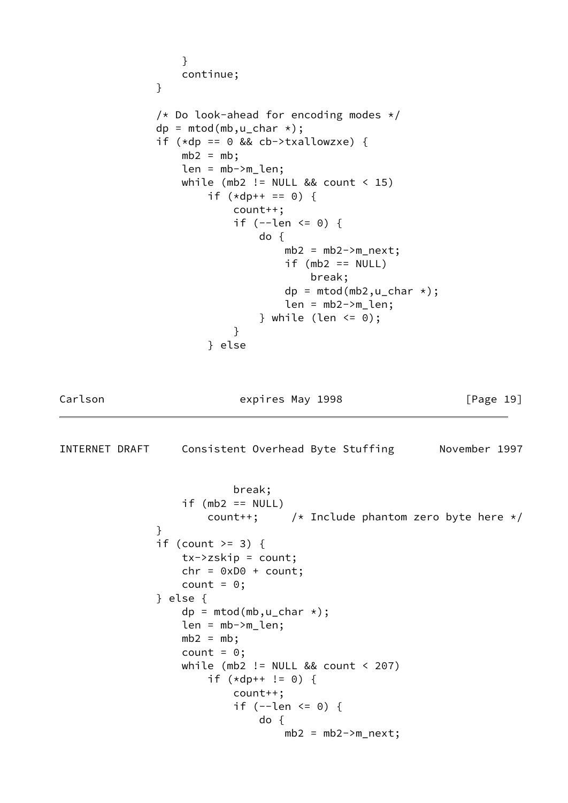```
 }
                   continue;
 }
              /* Do look-ahead for encoding modes */dp = mtod(mb,u_char *);
              if (*dp == 0 & & cb->txallowxxe) {
                  mb2 = mb; len = mb->m_len;
                  while (mb2 != NULL && count \leq 15)
                      if (*dp++ == 0) {
                           count++;
                          if (--len \le 0) {
                              do {
                                 mb2 = mb2->m\_next;if (mb2 == NULL) break;
                                 dp = m<sub>th</sub>(mb<sub>2</sub>, u_{th}<sub>1</sub>, ...);
                                 len = mb2->m_llen;} while (len \leq 0);
 }
                       } else
Carlson Expires May 1998 [Page 19]
INTERNET DRAFT Consistent Overhead Byte Stuffing November 1997
                           break;
                  if (mb2 == NULL)count++; \rightarrow /* Include phantom zero byte here */ }
              if (count >= 3) {
                   tx->zskip = count;
                  chr = 0xD0 + count;count = 0;
               } else {
                  dp = mtod(mb,u_char *);
                   len = mb->m_len;
                  mb2 = mb;count = 0; while (mb2 != NULL && count < 207)
                      if (*dp++ != 0) {
                          count++;
                          if (--len \le 0) {
                              do {
                                 mb2 = mb2->m\_next;
```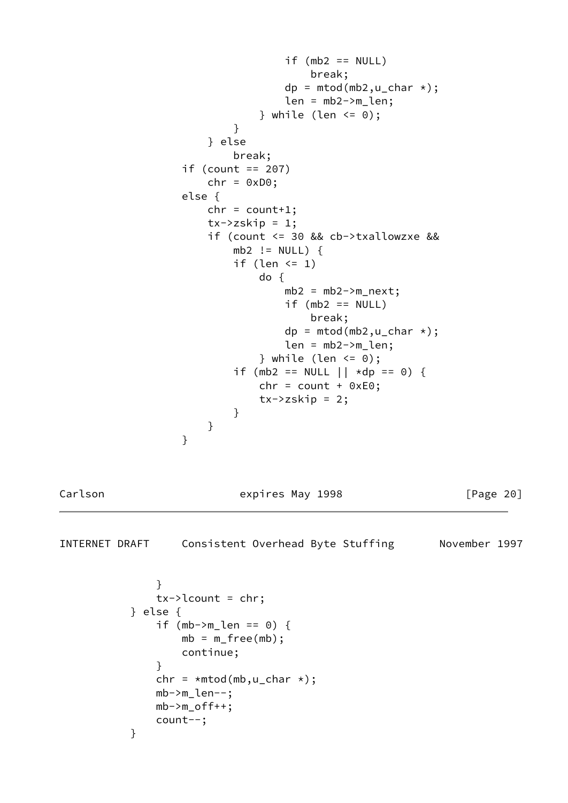```
if (mb2 == NULL) break;
                             dp = mtod(mb2,u_char *);
                             len = mb2->m_len;} while (len <= 0);
 }
                    } else
                       break;
                if (count == 207)
                   chr = 0xD0; else {
                   chr = count+1;tx->zskip = 1;
                    if (count <= 30 && cb->txallowzxe &&
                      mb2 := NULL) {
                      if (len \leq 1)
                          do {
                             mb2 = mb2->m\_next;if (mb2 == NULL) break;
                             dp = mtod(mb2,u_char *);
                             len = mb2->m_llen;} while (len <= 0);
                      if (mb2 == NULL || * dp == 0) {
                         chr = count + 0xE0;tx->zskip = 2; }
 }
 }
Carlson Expires May 1998 [Page 20]
INTERNET DRAFT Consistent Overhead Byte Stuffing November 1997
 }
            tx->lcount = chr;
          } else {
            if (mb->m_llen == 0) {
               mb = m_free(mb);
                continue;
 }
            chr = *mtod(mb, u_char *); mb->m_len--;
            mb->m_off++; count--;
```
}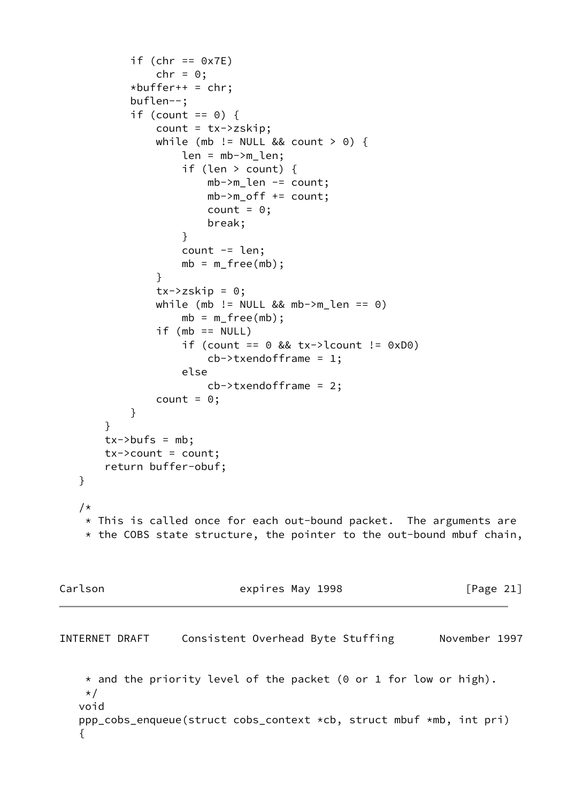```
if (chr == 0x7E)
              chr = 0;*buffer++ = chr; buflen--;
          if (count == 0) {
               count = tx->zskip;
              while (mb != NULL && count > 0) {
                   len = mb->m_len;
                   if (len > count) {
                       mb->m_len -= count;
                       mb->m_off += count;
                      count = 0; break;
 }
                  count = len;
                  mb = m_free(mb);
 }
              tx->zskip = 0;
              while (mb != NULL && mb->m_len == 0)
                  mb = m_free(mb);
              if (mb == NULL)if (count == 0 \&x + y - \text{1} != 0 \times 00)
                      cb->txendofframe = 1;
                   else
                       cb->txendofframe = 2;
              count = 0;
 }
       }
      tx->bufs = mb; tx->count = count;
       return buffer-obuf;
   }
   /*
    * This is called once for each out-bound packet. The arguments are
    * the COBS state structure, the pointer to the out-bound mbuf chain,
Carlson Expires May 1998 [Page 21]
INTERNET DRAFT Consistent Overhead Byte Stuffing November 1997
    * and the priority level of the packet (0 or 1 for low or high).
    */
   void
   ppp_cobs_enqueue(struct cobs_context *cb, struct mbuf *mb, int pri)
   {
```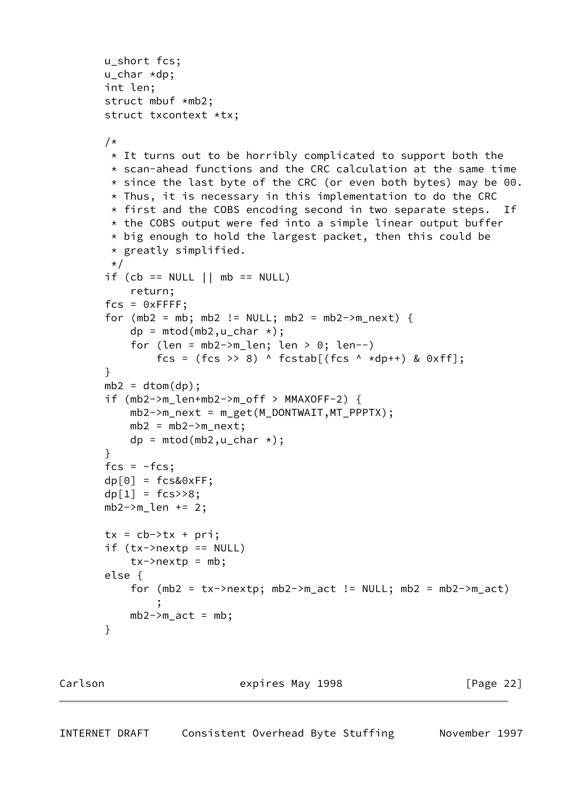```
 u_short fcs;
        u_char *dp;
        int len;
        struct mbuf *mb2;
        struct txcontext *tx;
       /*
         * It turns out to be horribly complicated to support both the
         * scan-ahead functions and the CRC calculation at the same time
        * since the last byte of the CRC (or even both bytes) may be 00.
        * Thus, it is necessary in this implementation to do the CRC
        * first and the COBS encoding second in two separate steps. If
        * the COBS output were fed into a simple linear output buffer
        * big enough to hold the largest packet, then this could be
         * greatly simplified.
        \star/if (cb == NULL || mb == NULL)
            return;
       fcs = 0xFFFF;
       for (mb2 = mb; mb2 != NULL; mb2 = mb2->m_next) {
           dp = mtod(mb2,u_char *);
           for (len = mb2->m_len; len > 0; len--)fcs = (fcs >> 8) ^ fcstab[(fcs ^ *dp++) & 0xff];
        }
       mb2 = dtom(dp);
        if (mb2->m_len+mb2->m_off > MMAXOFF-2) {
           mb2->m\_next = m\_get(M\_DONTWAIT, MT\_PPPTX);mb2 = mb2->m\_next;dp = mtod(mb2,u_char \star);
        }
       fcs = ~\simfcs;
       dp[0] = fcs&0xFF;dp[1] = fcs \rightarrow 8;mb2->m_len += 2;tx = cb->tx + pri;if (tx->nextp == NULL)tx \rightarrow nextp = mb; else {
           for (mb2 = tx->nextp; mb2->m_act != NULL; mb2 = mb2->m_act) ;
           mb2->m_act = mb; }
```
<span id="page-24-0"></span>Carlson **Expires May 1998** [Page 22]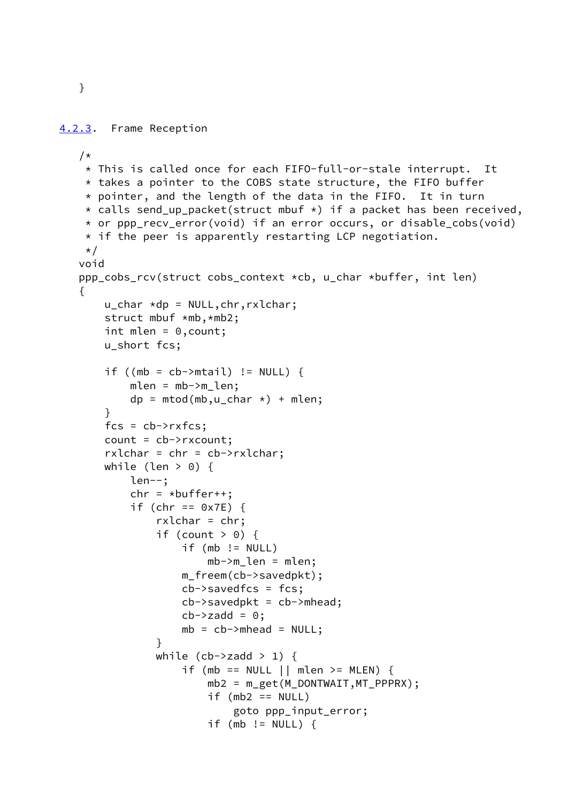```
 }
```

```
4.2.3. Frame Reception
    /*
     * This is called once for each FIFO-full-or-stale interrupt. It
     * takes a pointer to the COBS state structure, the FIFO buffer
     * pointer, and the length of the data in the FIFO. It in turn
     * calls send_up_packet(struct mbuf *) if a packet has been received,
     * or ppp_recv_error(void) if an error occurs, or disable_cobs(void)
    * if the peer is apparently restarting LCP negotiation.
     */
    void
    ppp_cobs_rcv(struct cobs_context *cb, u_char *buffer, int len)
    {
        u_char *dp = NULL,chr,rxlchar;
        struct mbuf *mb,*mb2;
        int mlen = 0,count;
        u_short fcs;
       if ((mb = cb->mtail) != NULL) {
           mlen = mb->m_llen;dp = mtod(mb,u_char \star) + mlen;
        }
       fcs = cb->rxfcs; count = cb->rxcount;
       rxlchar = chr = cb-\rightarrowrxlchar;
       while (len > 0) {
            len--;
           chr = *buffer++;if (chr == 0x7E) {
                rxlchar = chr;
               if (count > 0) {
                   if (mb != NULL)mb->m len = mlen;
                    m_freem(cb->savedpkt);
                    cb->savedfcs = fcs;
                   cb->savedpkt = cb->mhead;
                   cb->zadd = 0;mb = cb->mhead = NULL;
 }
               while (cb->zadd > 1) {
                   if (mb == NULL || mlen >= MLEN) {
                        mb2 = m_get(M_DONTWAIT,MT_PPPRX);
                       if (mb2 == NULL) goto ppp_input_error;
                        if (mb != NULL) {
```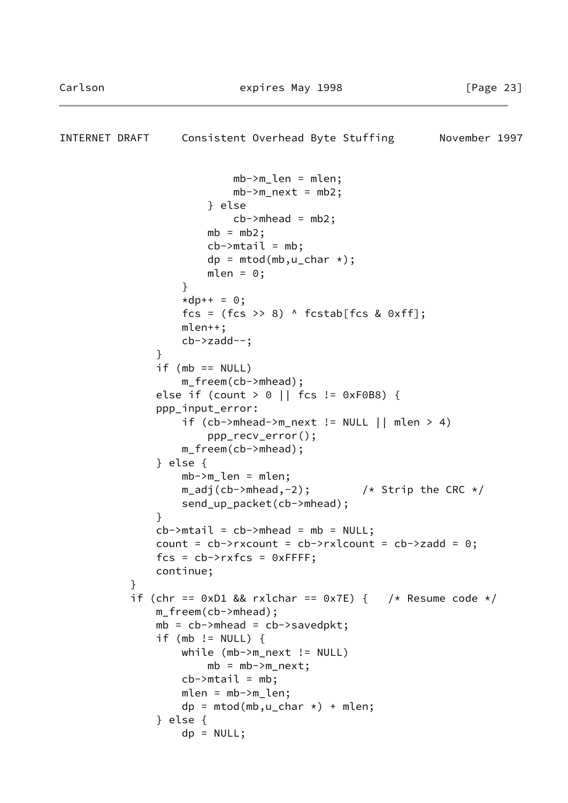```
INTERNET DRAFT Consistent Overhead Byte Stuffing Movember 1997
                          mb->m len = mlen;
                          mb->m\_next = mb2; } else
                          cb->mhead = mb2;
                      mb = mb2;
                      cb->mtail = mb;
                      dp = mtod(mb,u_char *);
                      mlen = 0; }
                  *dp++ = 0;fcs = (fcs >> 8) \land fcstab[fcs & 0xff];
                   mlen++;
                   cb->zadd--;
 }
              if (mb == NULL) m_freem(cb->mhead);
               else if (count > 0 || fcs != 0xF0B8) {
               ppp_input_error:
                  if (cb->mhead->m_newt != NULL || mlen > 4) ppp_recv_error();
                   m_freem(cb->mhead);
               } else {
                   mb->m_len = mlen;
                  m\_adj(cb->mhead, -2); /* Strip the CRC */
                   send_up_packet(cb->mhead);
 }
              cb->mtail = cb->mhead = mb = NULL;
              count = cb->rxcount = cb->rxlcount = cb->zadd = 0;
              fcs = cb->rxfcs = 0xFFFF; continue;
 }
          if (chr == 0xD1 && rxlchar == 0x7E) { /* Resume code */
               m_freem(cb->mhead);
              mb = cb->mhead = cb->savedpkt;
              if (mb != NULL) {
                   while (mb->m_next != NULL)
                      mb = mb \rightarrow m next;
                  cb->mtail = mb;
                   mlen = mb->m_len;
                  dp = mtod(mb,u_char *) + mlen;
               } else {
                  dp = NULL;
```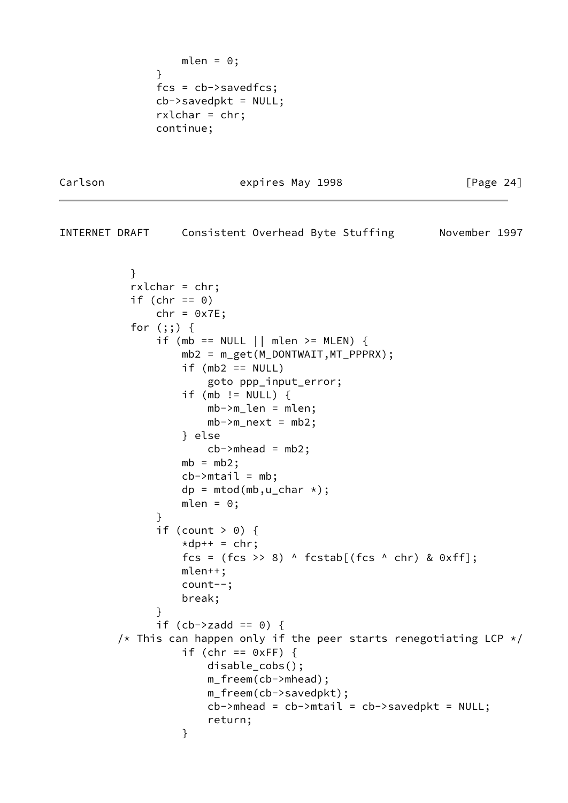```
mlen = 0; }
              fcs = cb->savedfcs;
             cb->savedpkt = NULL;
              rxlchar = chr;
              continue;
```
Carlson **Expires May 1998** [Page 24]

INTERNET DRAFT Consistent Overhead Byte Stuffing November 1997

```
 }
           rxlchar = chr;
          if (chr == 0)
              chr = 0x7E; for (;;) {
              if (mb == NULL || mlen >= MLEN) {
                   mb2 = m_get(M_DONTWAIT,MT_PPPRX);
                  if (mb2 == NULL) goto ppp_input_error;
                   if (mb != NULL) {
                       mb->m_len = mlen;
                      mb->m\_next = mb2; } else
                      cb->mhead = mb2;
                  mb = mb2;cb->mtail = mb;
                  dp = mtod(mb,u_char \star);
                  mlen = 0; }
              if (count > 0) {
                  *dp++ = chr;fcs = (fcs >> 8) \land fcstab[(fcs \land chr) & 0xff];
                   mlen++;
                   count--;
                   break;
 }
              if (cb->zadd == 0) {
        /* This can happen only if the peer starts renegotiating LCP */if (chr == 0xFF) {
                       disable_cobs();
                       m_freem(cb->mhead);
                       m_freem(cb->savedpkt);
                      cb->mhead = cb->mtail = cb->savedpkt = NULL;
                       return;
 }
```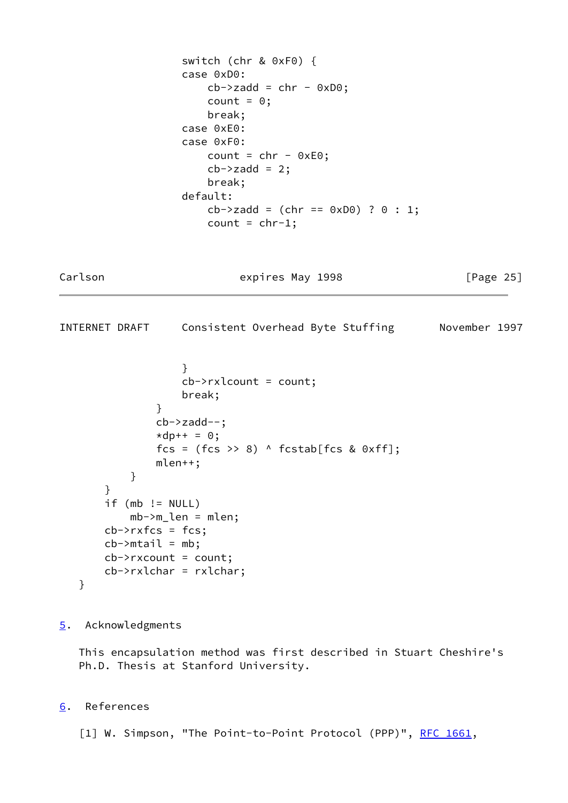```
 switch (chr & 0xF0) {
                  case 0xD0:
                    cb->zadd = chr - 0xD0;count = 0; break;
                  case 0xE0:
                  case 0xF0:
                    count = chr - 0xE0;cb->zadd = 2; break;
                  default:
                    cb->zadd = (chr == 0xD0) ? 0 : 1;count = chr-1;Carlson Expires May 1998 [Page 25]
INTERNET DRAFT Consistent Overhead Byte Stuffing November 1997
 }
                  cb->rxlcount = count;
                  break;
 }
              cb->zadd--;
             *dp++ = 0;fcs = (fcs \gg 8) ^ fcstab[fcs & 0xff]; mlen++;
          }
       }
      if (mb != NULL) mb->m_len = mlen;
      cb->rxfcs = fcs;
      cb->mtail = mb;
      cb->rxcount = count;
       cb->rxlchar = rxlchar;
   }
```

```
5. Acknowledgments
```
 This encapsulation method was first described in Stuart Cheshire's Ph.D. Thesis at Stanford University.

<span id="page-28-3"></span>[6](#page-28-3). References

<span id="page-28-0"></span>[1] W. Simpson, "The Point-to-Point Protocol (PPP)", [RFC 1661](https://datatracker.ietf.org/doc/pdf/rfc1661),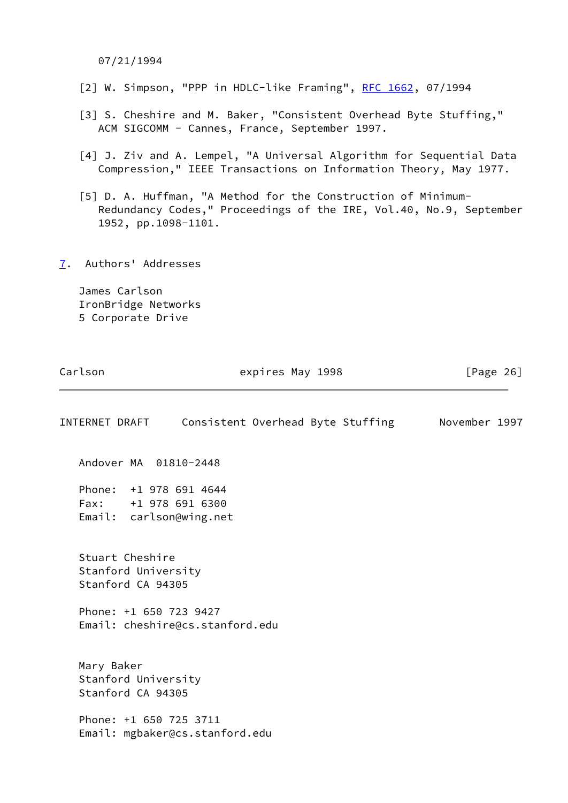07/21/1994

- <span id="page-29-1"></span>[2] W. Simpson, "PPP in HDLC-like Framing", [RFC 1662,](https://datatracker.ietf.org/doc/pdf/rfc1662) 07/1994
- <span id="page-29-2"></span> [3] S. Cheshire and M. Baker, "Consistent Overhead Byte Stuffing," ACM SIGCOMM - Cannes, France, September 1997.
- <span id="page-29-3"></span> [4] J. Ziv and A. Lempel, "A Universal Algorithm for Sequential Data Compression," IEEE Transactions on Information Theory, May 1977.
- <span id="page-29-4"></span> [5] D. A. Huffman, "A Method for the Construction of Minimum- Redundancy Codes," Proceedings of the IRE, Vol.40, No.9, September 1952, pp.1098-1101.
- <span id="page-29-0"></span>[7](#page-29-0). Authors' Addresses

 James Carlson IronBridge Networks 5 Corporate Drive

| INTERNET DRAFT                                                            | Consistent Overhead Byte Stuffing November 1997 |  |  |
|---------------------------------------------------------------------------|-------------------------------------------------|--|--|
| Andover MA 01810-2448                                                     |                                                 |  |  |
| Phone: +1 978 691 4644<br>Fax: +1 978 691 6300<br>Email: carlson@wing.net |                                                 |  |  |
| Stuart Cheshire<br>Stanford University<br>Stanford CA 94305               |                                                 |  |  |
| Phone: +1 650 723 9427                                                    | Email: cheshire@cs.stanford.edu                 |  |  |
| Mary Baker<br>Stanford University<br>Stanford CA 94305                    |                                                 |  |  |
| Phone: +1 650 725 3711<br>Email: mgbaker@cs.stanford.edu                  |                                                 |  |  |
|                                                                           |                                                 |  |  |

Carlson **Expires May 1998** [Page 26]